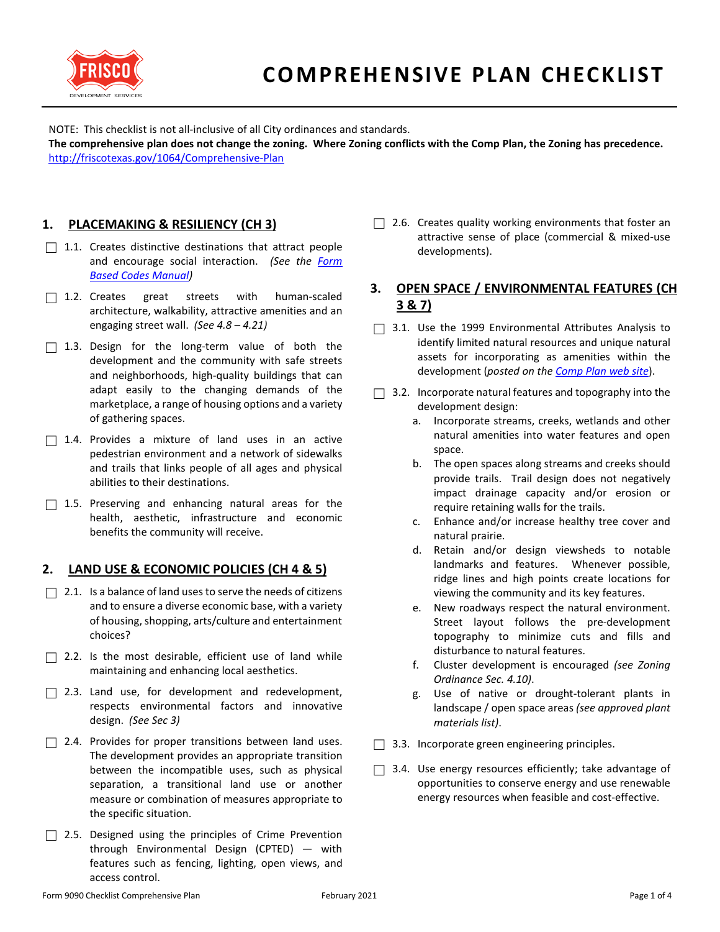

NOTE: This checklist is not all-inclusive of all City ordinances and standards.

**The comprehensive plan does not change the zoning. Where Zoning conflicts with the Comp Plan, the Zoning has precedence.** <http://friscotexas.gov/1064/Comprehensive-Plan>

### **1. PLACEMAKING & RESILIENCY (CH 3)**

- $\Box$  1.1. Creates distinctive destinations that attract people and encourage social interaction. *(See the [Form](https://www.friscotexas.gov/DocumentCenter/View/4928)  [Based Codes Manual\)](https://www.friscotexas.gov/DocumentCenter/View/4928)*
- □ 1.2. Creates great streets with human-scaled architecture, walkability, attractive amenities and an engaging street wall. *(See 4.8 – 4.21)*
- $\Box$  1.3. Design for the long-term value of both the development and the community with safe streets and neighborhoods, high-quality buildings that can adapt easily to the changing demands of the marketplace, a range of housing options and a variety of gathering spaces.
- $\Box$  1.4. Provides a mixture of land uses in an active pedestrian environment and a network of sidewalks and trails that links people of all ages and physical abilities to their destinations.
- $\Box$  1.5. Preserving and enhancing natural areas for the health, aesthetic, infrastructure and economic benefits the community will receive.

#### **2. LAND USE & ECONOMIC POLICIES (CH 4 & 5)**

- $\Box$  2.1. Is a balance of land uses to serve the needs of citizens and to ensure a diverse economic base, with a variety of housing, shopping, arts/culture and entertainment choices?
- $\Box$  2.2. Is the most desirable, efficient use of land while maintaining and enhancing local aesthetics.
- $\Box$  2.3. Land use, for development and redevelopment, respects environmental factors and innovative design. *(See Sec 3)*
- $\Box$  2.4. Provides for proper transitions between land uses. The development provides an appropriate transition between the incompatible uses, such as physical separation, a transitional land use or another measure or combination of measures appropriate to the specific situation.
- $\Box$  2.5. Designed using the principles of Crime Prevention through Environmental Design (CPTED) — with features such as fencing, lighting, open views, and access control.

 $\Box$  2.6. Creates quality working environments that foster an attractive sense of place (commercial & mixed-use developments).

## **3. OPEN SPACE / ENVIRONMENTAL FEATURES (CH 3 & 7)**

- $\Box$  3.1. Use the 1999 Environmental Attributes Analysis to identify limited natural resources and unique natural assets for incorporating as amenities within the development (*posted on the [Comp Plan web site](https://www.friscotexas.gov/1064)*).
- $\Box$  3.2. Incorporate natural features and topography into the development design:
	- a. Incorporate streams, creeks, wetlands and other natural amenities into water features and open space.
	- b. The open spaces along streams and creeks should provide trails. Trail design does not negatively impact drainage capacity and/or erosion or require retaining walls for the trails.
	- c. Enhance and/or increase healthy tree cover and natural prairie.
	- d. Retain and/or design viewsheds to notable landmarks and features. Whenever possible, ridge lines and high points create locations for viewing the community and its key features.
	- e. New roadways respect the natural environment. Street layout follows the pre-development topography to minimize cuts and fills and disturbance to natural features.
	- f. Cluster development is encouraged *(see Zoning Ordinance Sec. 4.10)*.
	- g. Use of native or drought-tolerant plants in landscape / open space areas *(see approved plant materials list)*.
- $\Box$  3.3. Incorporate green engineering principles.
- $\Box$  3.4. Use energy resources efficiently; take advantage of opportunities to conserve energy and use renewable energy resources when feasible and cost-effective.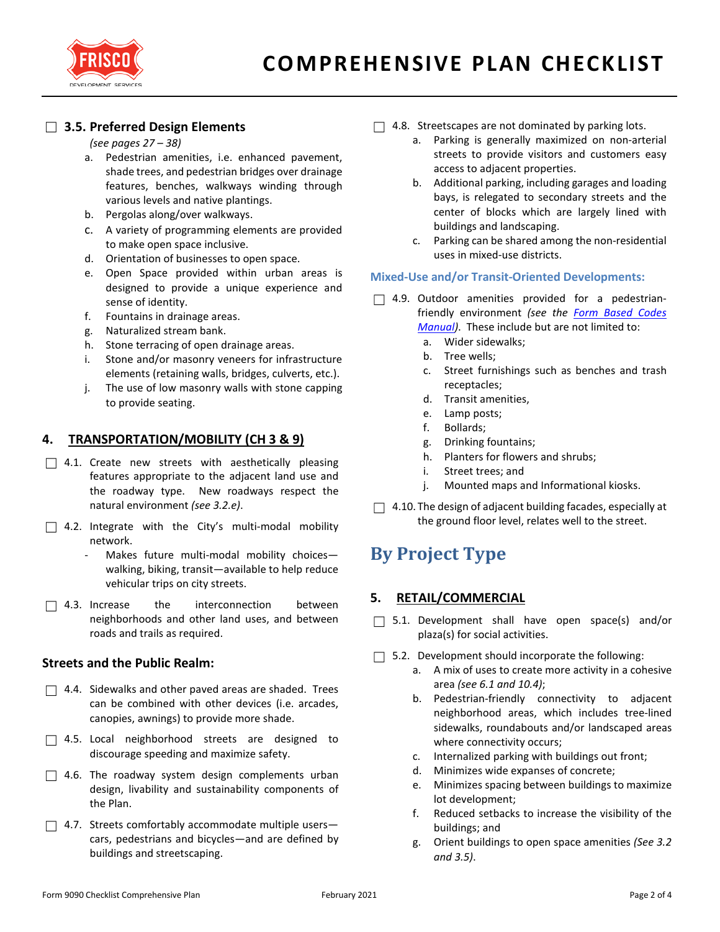

## ☐ **3.5. Preferred Design Elements**

#### *(see pages 27 – 38)*

- a. Pedestrian amenities, i.e. enhanced pavement, shade trees, and pedestrian bridges over drainage features, benches, walkways winding through various levels and native plantings.
- b. Pergolas along/over walkways.
- c. A variety of programming elements are provided to make open space inclusive.
- d. Orientation of businesses to open space.
- e. Open Space provided within urban areas is designed to provide a unique experience and sense of identity.
- f. Fountains in drainage areas.
- g. Naturalized stream bank.
- h. Stone terracing of open drainage areas.
- i. Stone and/or masonry veneers for infrastructure elements (retaining walls, bridges, culverts, etc.).
- j. The use of low masonry walls with stone capping to provide seating.

### **4. TRANSPORTATION/MOBILITY (CH 3 & 9)**

- $\Box$  4.1. Create new streets with aesthetically pleasing features appropriate to the adjacent land use and the roadway type. New roadways respect the natural environment *(see 3.2.e)*.
- $\Box$  4.2. Integrate with the City's multi-modal mobility network.
	- Makes future multi-modal mobility choiceswalking, biking, transit—available to help reduce vehicular trips on city streets.
- $\Box$  4.3. Increase the interconnection between neighborhoods and other land uses, and between roads and trails as required.

#### **Streets and the Public Realm:**

- $\Box$  4.4. Sidewalks and other paved areas are shaded. Trees can be combined with other devices (i.e. arcades, canopies, awnings) to provide more shade.
- $\Box$  4.5. Local neighborhood streets are designed to discourage speeding and maximize safety.
- $\Box$  4.6. The roadway system design complements urban design, livability and sustainability components of the Plan.
- $\Box$  4.7. Streets comfortably accommodate multiple userscars, pedestrians and bicycles—and are defined by buildings and streetscaping.
- $\Box$  4.8. Streetscapes are not dominated by parking lots.
	- a. Parking is generally maximized on non-arterial streets to provide visitors and customers easy access to adjacent properties.
	- b. Additional parking, including garages and loading bays, is relegated to secondary streets and the center of blocks which are largely lined with buildings and landscaping.
	- c. Parking can be shared among the non-residential uses in mixed-use districts.

#### **Mixed-Use and/or Transit-Oriented Developments:**

- $\Box$  4.9. Outdoor amenities provided for a pedestrianfriendly environment *(see the [Form Based Codes](http://goo.gl/RbM21u)* 
	- *[Manual\)](http://goo.gl/RbM21u)*. These include but are not limited to:
	- a. Wider sidewalks;
	- b. Tree wells;
	- c. Street furnishings such as benches and trash receptacles;
	- d. Transit amenities,
	- e. Lamp posts;
	- f. Bollards;
	- g. Drinking fountains;
	- h. Planters for flowers and shrubs;
	- i. Street trees; and
	- j. Mounted maps and Informational kiosks.
- $\Box$  4.10. The design of adjacent building facades, especially at the ground floor level, relates well to the street.

# **By Project Type**

#### **5. RETAIL/COMMERCIAL**

- $\Box$  5.1. Development shall have open space(s) and/or plaza(s) for social activities.
- $\Box$  5.2. Development should incorporate the following:
	- a. A mix of uses to create more activity in a cohesive area *(see 6.1 and 10.4)*;
	- b. Pedestrian-friendly connectivity to adjacent neighborhood areas, which includes tree-lined sidewalks, roundabouts and/or landscaped areas where connectivity occurs;
	- c. Internalized parking with buildings out front;
	- d. Minimizes wide expanses of concrete;
	- e. Minimizes spacing between buildings to maximize lot development;
	- f. Reduced setbacks to increase the visibility of the buildings; and
	- g. Orient buildings to open space amenities *(See 3.2 and 3.5)*.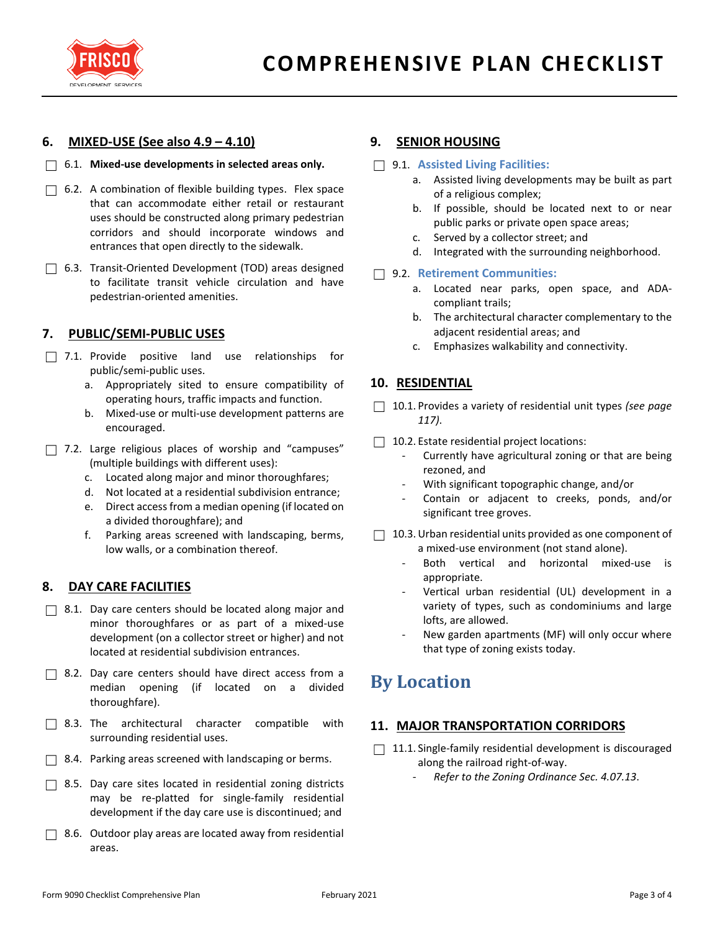

### **6. MIXED-USE (See also 4.9 – 4.10)**

#### ☐ 6.1. **Mixed-use developments in selected areas only.**

- $\Box$  6.2. A combination of flexible building types. Flex space that can accommodate either retail or restaurant uses should be constructed along primary pedestrian corridors and should incorporate windows and entrances that open directly to the sidewalk.
- ☐ 6.3. Transit-Oriented Development (TOD) areas designed to facilitate transit vehicle circulation and have pedestrian-oriented amenities.

### **7. PUBLIC/SEMI-PUBLIC USES**

- $\Box$  7.1. Provide positive land use relationships for public/semi-public uses.
	- a. Appropriately sited to ensure compatibility of operating hours, traffic impacts and function.
	- b. Mixed-use or multi-use development patterns are encouraged.
- □ 7.2. Large religious places of worship and "campuses" (multiple buildings with different uses):
	- c. Located along major and minor thoroughfares;
	- d. Not located at a residential subdivision entrance;
	- e. Direct access from a median opening (if located on a divided thoroughfare); and
	- f. Parking areas screened with landscaping, berms, low walls, or a combination thereof.

#### **8. DAY CARE FACILITIES**

- □ 8.1. Day care centers should be located along major and minor thoroughfares or as part of a mixed-use development (on a collector street or higher) and not located at residential subdivision entrances.
- □ 8.2. Day care centers should have direct access from a median opening (if located on a divided thoroughfare).
- $\Box$  8.3. The architectural character compatible with surrounding residential uses.
- $\Box$  8.4. Parking areas screened with landscaping or berms.
- $\Box$  8.5. Day care sites located in residential zoning districts may be re-platted for single-family residential development if the day care use is discontinued; and
- $\Box$  8.6. Outdoor play areas are located away from residential areas.

#### **9. SENIOR HOUSING**

- ☐ 9.1. **Assisted Living Facilities:**
	- a. Assisted living developments may be built as part of a religious complex;
	- b. If possible, should be located next to or near public parks or private open space areas;
	- c. Served by a collector street; and
	- d. Integrated with the surrounding neighborhood.

#### ☐ 9.2. **Retirement Communities:**

- a. Located near parks, open space, and ADAcompliant trails;
- b. The architectural character complementary to the adjacent residential areas; and
- c. Emphasizes walkability and connectivity.

#### **10. RESIDENTIAL**

- ☐ 10.1. Provides a variety of residential unit types *(see page 117)*.
- □ 10.2. Estate residential project locations:
	- Currently have agricultural zoning or that are being rezoned, and
	- With significant topographic change, and/or
	- Contain or adjacent to creeks, ponds, and/or significant tree groves.
- $\Box$  10.3. Urban residential units provided as one component of a mixed-use environment (not stand alone).
	- Both vertical and horizontal mixed-use is appropriate.
	- Vertical urban residential (UL) development in a variety of types, such as condominiums and large lofts, are allowed.
	- New garden apartments (MF) will only occur where that type of zoning exists today.

## **By Location**

#### **11. MAJOR TRANSPORTATION CORRIDORS**

- $\Box$  11.1. Single-family residential development is discouraged along the railroad right-of-way.
	- *Refer to the Zoning Ordinance Sec. 4.07.13*.